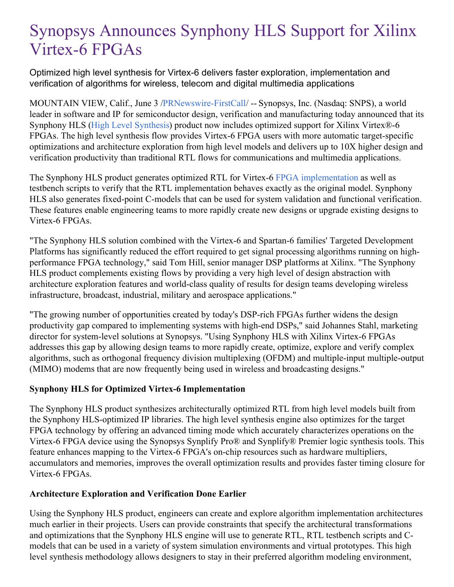# Synopsys Announces Synphony HLS Support for Xilinx Virtex-6 FPGAs

Optimized high level synthesis for Virtex-6 delivers faster exploration, implementation and verification of algorithms for wireless, telecom and digital multimedia applications

MOUNTAIN VIEW, Calif., June 3 [/PRNewswire-FirstCall](http://www.prnewswire.com/)/ -- Synopsys, Inc. (Nasdaq: SNPS), a world leader in software and IP for semiconductor design, verification and manufacturing today announced that its Synphony HLS (High Level [Synthesis](https://www.synopsys.com/implementation-and-signoff/rtl-synthesis-test.html)) product now includes optimized support for Xilinx Virtex®-6 FPGAs. The high level synthesis flow provides Virtex-6 FPGA users with more automatic target-specific optimizations and architecture exploration from high level models and delivers up to 10X higher design and verification productivity than traditional RTL flows for communications and multimedia applications.

The Synphony HLS product generates optimized RTL for Virtex-6 FPGA [implementation](http://www.synopsys.com/Tools/Implementation/FPGAImplementation/Pages/default.aspx) as well as testbench scripts to verify that the RTL implementation behaves exactly as the original model. Synphony HLS also generates fixed-point C-models that can be used for system validation and functional verification. These features enable engineering teams to more rapidly create new designs or upgrade existing designs to Virtex-6 FPGAs.

"The Synphony HLS solution combined with the Virtex-6 and Spartan-6 families' Targeted Development Platforms has significantly reduced the effort required to get signal processing algorithms running on highperformance FPGA technology," said Tom Hill, senior manager DSP platforms at Xilinx. "The Synphony HLS product complements existing flows by providing a very high level of design abstraction with architecture exploration features and world-class quality of results for design teams developing wireless infrastructure, broadcast, industrial, military and aerospace applications."

"The growing number of opportunities created by today's DSP-rich FPGAs further widens the design productivity gap compared to implementing systems with high-end DSPs," said Johannes Stahl, marketing director for system-level solutions at Synopsys. "Using Synphony HLS with Xilinx Virtex-6 FPGAs addresses this gap by allowing design teams to more rapidly create, optimize, explore and verify complex algorithms, such as orthogonal frequency division multiplexing (OFDM) and multiple-input multiple-output (MIMO) modems that are now frequently being used in wireless and broadcasting designs."

# **Synphony HLS for Optimized Virtex-6 Implementation**

The Synphony HLS product synthesizes architecturally optimized RTL from high level models built from the Synphony HLS-optimized IP libraries. The high level synthesis engine also optimizes for the target FPGA technology by offering an advanced timing mode which accurately characterizes operations on the Virtex-6 FPGA device using the Synopsys Synplify Pro® and Synplify® Premier logic synthesis tools. This feature enhances mapping to the Virtex-6 FPGA's on-chip resources such as hardware multipliers, accumulators and memories, improves the overall optimization results and provides faster timing closure for Virtex-6 FPGAs.

# **Architecture Exploration and Verification Done Earlier**

Using the Synphony HLS product, engineers can create and explore algorithm implementation architectures much earlier in their projects. Users can provide constraints that specify the architectural transformations and optimizations that the Synphony HLS engine will use to generate RTL, RTL testbench scripts and Cmodels that can be used in a variety of system simulation environments and virtual prototypes. This high level synthesis methodology allows designers to stay in their preferred algorithm modeling environment,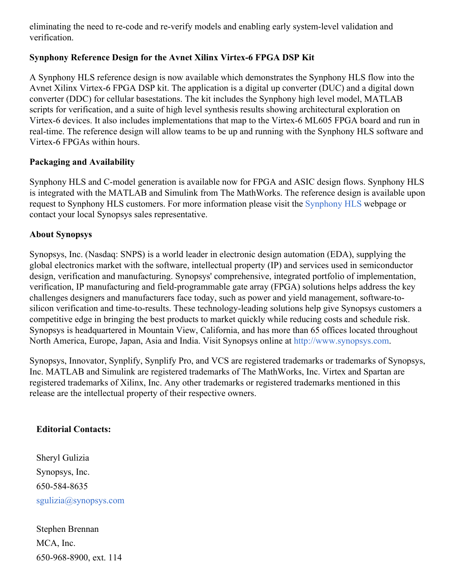eliminating the need to re-code and re-verify models and enabling early system-level validation and verification.

# **Synphony Reference Design for the Avnet Xilinx Virtex-6 FPGA DSP Kit**

A Synphony HLS reference design is now available which demonstrates the Synphony HLS flow into the Avnet Xilinx Virtex-6 FPGA DSP kit. The application is a digital up converter (DUC) and a digital down converter (DDC) for cellular basestations. The kit includes the Synphony high level model, MATLAB scripts for verification, and a suite of high level synthesis results showing architectural exploration on Virtex-6 devices. It also includes implementations that map to the Virtex-6 ML605 FPGA board and run in real-time. The reference design will allow teams to be up and running with the Synphony HLS software and Virtex-6 FPGAs within hours.

# **Packaging and Availability**

Synphony HLS and C-model generation is available now for FPGA and ASIC design flows. Synphony HLS is integrated with the MATLAB and Simulink from The MathWorks. The reference design is available upon request to Synphony HLS customers. For more information please visit the [Synphony](https://www.synopsys.com/implementation-and-signoff/rtl-synthesis-test.html) HLS webpage or contact your local Synopsys sales representative.

# **About Synopsys**

Synopsys, Inc. (Nasdaq: SNPS) is a world leader in electronic design automation (EDA), supplying the global electronics market with the software, intellectual property (IP) and services used in semiconductor design, verification and manufacturing. Synopsys' comprehensive, integrated portfolio of implementation, verification, IP manufacturing and field-programmable gate array (FPGA) solutions helps address the key challenges designers and manufacturers face today, such as power and yield management, software-tosilicon verification and time-to-results. These technology-leading solutions help give Synopsys customers a competitive edge in bringing the best products to market quickly while reducing costs and schedule risk. Synopsys is headquartered in Mountain View, California, and has more than 65 offices located throughout North America, Europe, Japan, Asia and India. Visit Synopsys online at [http://www.synopsys.com](http://www.synopsys.com/).

Synopsys, Innovator, Synplify, Synplify Pro, and VCS are registered trademarks or trademarks of Synopsys, Inc. MATLAB and Simulink are registered trademarks of The MathWorks, Inc. Virtex and Spartan are registered trademarks of Xilinx, Inc. Any other trademarks or registered trademarks mentioned in this release are the intellectual property of their respective owners.

#### **Editorial Contacts:**

Sheryl Gulizia Synopsys, Inc. 650-584-8635 [sgulizia@synopsys.com](mailto:sgulizia@synopsys.com)

Stephen Brennan MCA, Inc. 650-968-8900, ext. 114